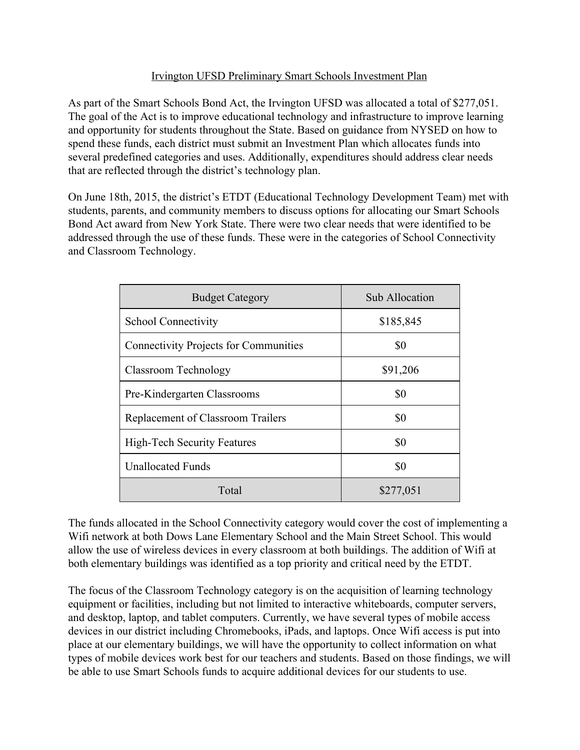## Irvington UFSD Preliminary Smart Schools Investment Plan

As part of the Smart Schools Bond Act, the Irvington UFSD was allocated a total of \$277,051. The goal of the Act is to improve educational technology and infrastructure to improve learning and opportunity for students throughout the State. Based on guidance from NYSED on how to spend these funds, each district must submit an Investment Plan which allocates funds into several predefined categories and uses. Additionally, expenditures should address clear needs that are reflected through the district's technology plan.

On June 18th, 2015, the district's ETDT (Educational Technology Development Team) met with students, parents, and community members to discuss options for allocating our Smart Schools Bond Act award from New York State. There were two clear needs that were identified to be addressed through the use of these funds. These were in the categories of School Connectivity and Classroom Technology.

| <b>Budget Category</b>                       | Sub Allocation |
|----------------------------------------------|----------------|
| School Connectivity                          | \$185,845      |
| <b>Connectivity Projects for Communities</b> | \$0            |
| Classroom Technology                         | \$91,206       |
| Pre-Kindergarten Classrooms                  | \$0            |
| Replacement of Classroom Trailers            | \$0            |
| <b>High-Tech Security Features</b>           | \$0            |
| <b>Unallocated Funds</b>                     | \$0            |
| Total                                        | \$277,051      |

The funds allocated in the School Connectivity category would cover the cost of implementing a Wifi network at both Dows Lane Elementary School and the Main Street School. This would allow the use of wireless devices in every classroom at both buildings. The addition of Wifi at both elementary buildings was identified as a top priority and critical need by the ETDT.

The focus of the Classroom Technology category is on the acquisition of learning technology equipment or facilities, including but not limited to interactive whiteboards, computer servers, and desktop, laptop, and tablet computers. Currently, we have several types of mobile access devices in our district including Chromebooks, iPads, and laptops. Once Wifi access is put into place at our elementary buildings, we will have the opportunity to collect information on what types of mobile devices work best for our teachers and students. Based on those findings, we will be able to use Smart Schools funds to acquire additional devices for our students to use.